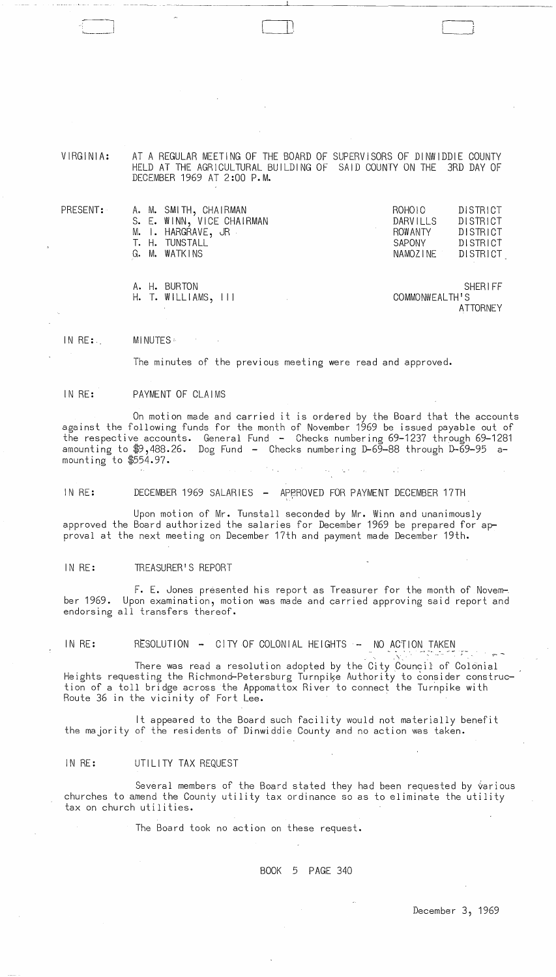VIRGINIA: AT A REGULAR MEETING OF THE BOARD OF SUPERVISORS OF DINWIDDIE COUNTY HELD AT THE AGRICULTURAL BUILDING OF SAID COUNTY ON THE 3RD DAY OF DECEMBER 1969 AT 2:00 P.M.

| DISTRICT |
|----------|
| DISTRICT |
| DISTRICT |
| DISTRICT |
|          |
|          |

A. H. BURTON SHERIFF<br>H. T. WILLIAMS, III SHERIFF COMMONWEALTH'S H. T. WILLIAMS, III **ATTORNEY** 

IN RE:. MINUTES :

The minutes of the previous meeting were read and approved.

#### IN RE: PAYMENT OF CLAIMS

On motion made and carried it is ordered by the Board that the accounts against the following funds for the month of November 1969 be issued payable out of the respective accounts. General Fund - Checks numbering 69-1237 through 69-1281 amounting to \$9,488.26. Dog Fund - Checks numbering D-69-88 through D-69-95 amounting to  $$554.97$ .

IN RE: DECEMBER 1969 SALARIES - APPROVED FOR PAYMENT DECEMBER 17TH

Upon motion of Mr. Tunstall seconded by Mr. Winn and unanimously approved the Board authorized the salaries for December 1969 be prepared for approval at the next meeting on December 17th and payment made December 19th.

#### IN RE: TREASURER'S REPORT

 $F.$  E. Jones presented his report as Treasurer for the month of Novem-. ber 1969. Upon examination, motion was made and carried approving said report and endorsing all transfers thereof.

IN RE: RESOLUTION  $-$  CITY OF COLONIAL HEIGHTS  $-$ NO ACTION TAKEN

There was read a resolution adopted by the City Council of Colonial Heights requesting the Richmond-Petersburg Turnpike Authority to consider construction of a toll bridge across the Appomattox River to connect the Turnpike with Route 36 in the vicinity of Fort Lee.

It appeared to the Board such facility would not materially benefit the majority of the residents of Dinwiddie County and no action was taken.

### IN RE: UTILITY TAX REQUEST

Several members of the Board stated they had been requested by various churches to amend the County utility tax ordinance so as to eliminate the utility tax on church utilities.

The Board took no action on these request.

BOOK 5 PAGE 340